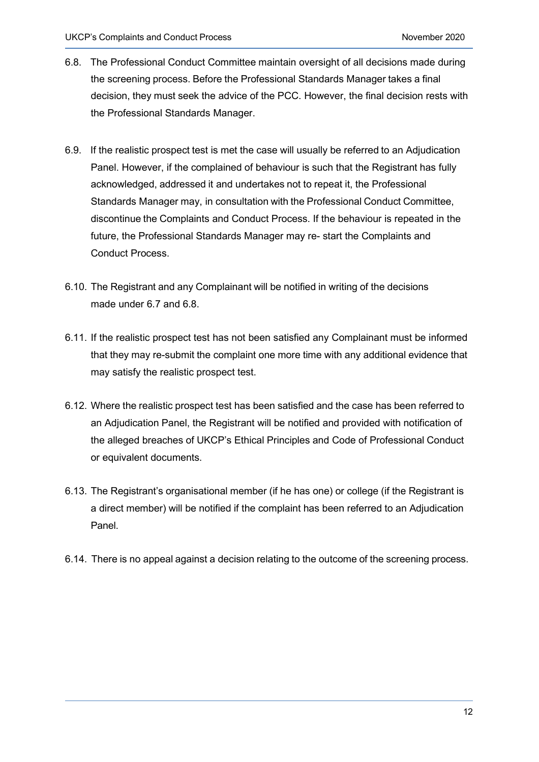- 6.8. The Professional Conduct Committee maintain oversight of all decisions made during the screening process. Before the Professional Standards Manager takes a final decision, they must seek the advice of the PCC. However, the final decision rests with the Professional Standards Manager.
- 6.9. If the realistic prospect test is met the case will usually be referred to an Adjudication Panel. However, if the complained of behaviour is such that the Registrant has fully acknowledged, addressed it and undertakes not to repeat it, the Professional Standards Manager may, in consultation with the Professional Conduct Committee, discontinue the Complaints and Conduct Process. If the behaviour is repeated in the future, the Professional Standards Manager may re- start the Complaints and Conduct Process.
- 6.10. The Registrant and any Complainant will be notified in writing of the decisions made under 6.7 and 6.8.
- 6.11. If the realistic prospect test has not been satisfied any Complainant must be informed that they may re-submit the complaint one more time with any additional evidence that may satisfy the realistic prospect test.
- 6.12. Where the realistic prospect test has been satisfied and the case has been referred to an Adjudication Panel, the Registrant will be notified and provided with notification of the alleged breaches of UKCP's Ethical Principles and Code of Professional Conduct or equivalent documents.
- 6.13. The Registrant's organisational member (if he has one) or college (if the Registrant is a direct member) will be notified if the complaint has been referred to an Adjudication Panel.
- 6.14. There is no appeal against a decision relating to the outcome of the screening process.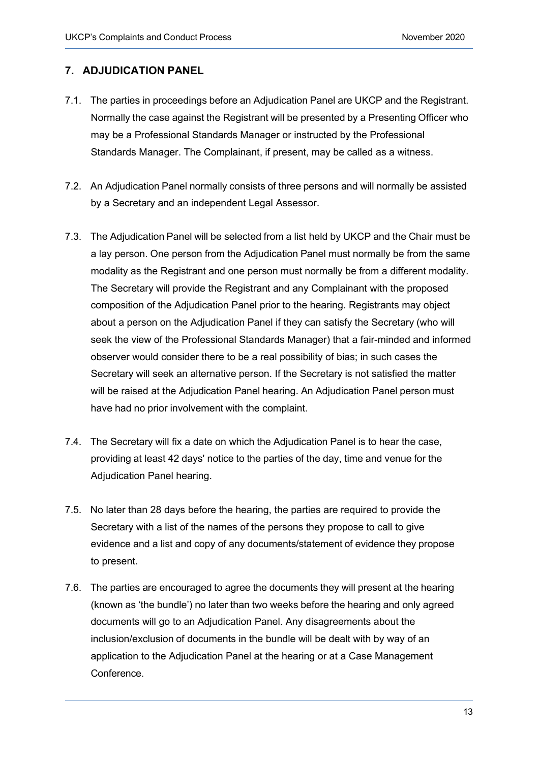## **7. ADJUDICATION PANEL**

- 7.1. The parties in proceedings before an Adjudication Panel are UKCP and the Registrant. Normally the case against the Registrant will be presented by a Presenting Officer who may be a Professional Standards Manager or instructed by the Professional Standards Manager. The Complainant, if present, may be called as a witness.
- 7.2. An Adjudication Panel normally consists of three persons and will normally be assisted by a Secretary and an independent Legal Assessor.
- 7.3. The Adjudication Panel will be selected from a list held by UKCP and the Chair must be a lay person. One person from the Adjudication Panel must normally be from the same modality as the Registrant and one person must normally be from a different modality. The Secretary will provide the Registrant and any Complainant with the proposed composition of the Adjudication Panel prior to the hearing. Registrants may object about a person on the Adjudication Panel if they can satisfy the Secretary (who will seek the view of the Professional Standards Manager) that a fair-minded and informed observer would consider there to be a real possibility of bias; in such cases the Secretary will seek an alternative person. If the Secretary is not satisfied the matter will be raised at the Adjudication Panel hearing. An Adjudication Panel person must have had no prior involvement with the complaint.
- 7.4. The Secretary will fix a date on which the Adjudication Panel is to hear the case, providing at least 42 days' notice to the parties of the day, time and venue for the Adjudication Panel hearing.
- 7.5. No later than 28 days before the hearing, the parties are required to provide the Secretary with a list of the names of the persons they propose to call to give evidence and a list and copy of any documents/statement of evidence they propose to present.
- 7.6. The parties are encouraged to agree the documents they will present at the hearing (known as 'the bundle') no later than two weeks before the hearing and only agreed documents will go to an Adjudication Panel. Any disagreements about the inclusion/exclusion of documents in the bundle will be dealt with by way of an application to the Adjudication Panel at the hearing or at a Case Management Conference.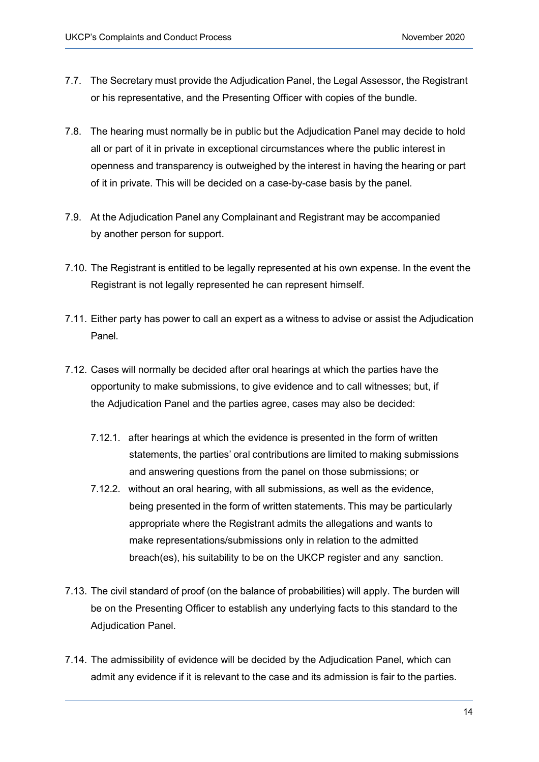- 7.7. The Secretary must provide the Adjudication Panel, the Legal Assessor, the Registrant or his representative, and the Presenting Officer with copies of the bundle.
- 7.8. The hearing must normally be in public but the Adjudication Panel may decide to hold all or part of it in private in exceptional circumstances where the public interest in openness and transparency is outweighed by the interest in having the hearing or part of it in private. This will be decided on a case-by-case basis by the panel.
- 7.9. At the Adjudication Panel any Complainant and Registrant may be accompanied by another person for support.
- 7.10. The Registrant is entitled to be legally represented at his own expense. In the event the Registrant is not legally represented he can represent himself.
- 7.11. Either party has power to call an expert as a witness to advise or assist the Adjudication Panel.
- 7.12. Cases will normally be decided after oral hearings at which the parties have the opportunity to make submissions, to give evidence and to call witnesses; but, if the Adjudication Panel and the parties agree, cases may also be decided:
	- 7.12.1. after hearings at which the evidence is presented in the form of written statements, the parties' oral contributions are limited to making submissions and answering questions from the panel on those submissions; or
	- 7.12.2. without an oral hearing, with all submissions, as well as the evidence, being presented in the form of written statements. This may be particularly appropriate where the Registrant admits the allegations and wants to make representations/submissions only in relation to the admitted breach(es), his suitability to be on the UKCP register and any sanction.
- 7.13. The civil standard of proof (on the balance of probabilities) will apply. The burden will be on the Presenting Officer to establish any underlying facts to this standard to the Adjudication Panel.
- 7.14. The admissibility of evidence will be decided by the Adjudication Panel, which can admit any evidence if it is relevant to the case and its admission is fair to the parties.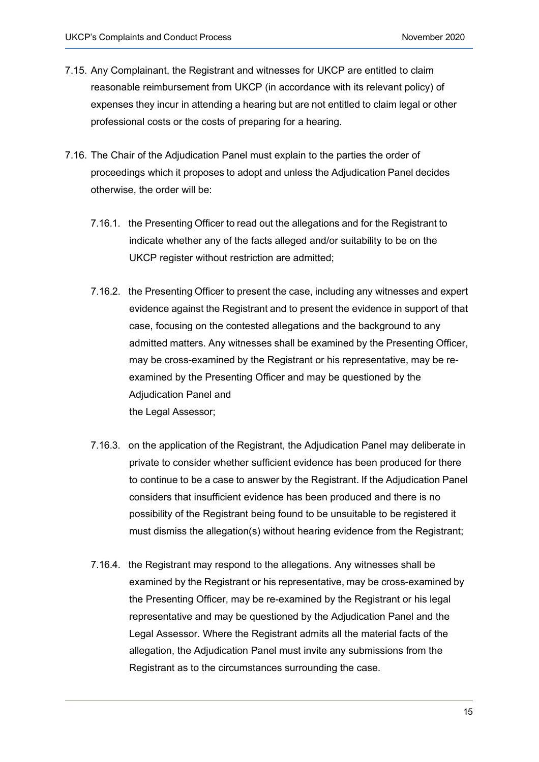- 7.15. Any Complainant, the Registrant and witnesses for UKCP are entitled to claim reasonable reimbursement from UKCP (in accordance with its relevant policy) of expenses they incur in attending a hearing but are not entitled to claim legal or other professional costs or the costs of preparing for a hearing.
- 7.16. The Chair of the Adjudication Panel must explain to the parties the order of proceedings which it proposes to adopt and unless the Adjudication Panel decides otherwise, the order will be:
	- 7.16.1. the Presenting Officer to read out the allegations and for the Registrant to indicate whether any of the facts alleged and/or suitability to be on the UKCP register without restriction are admitted;
	- 7.16.2. the Presenting Officer to present the case, including any witnesses and expert evidence against the Registrant and to present the evidence in support of that case, focusing on the contested allegations and the background to any admitted matters. Any witnesses shall be examined by the Presenting Officer, may be cross-examined by the Registrant or his representative, may be reexamined by the Presenting Officer and may be questioned by the Adjudication Panel and the Legal Assessor;
	- 7.16.3. on the application of the Registrant, the Adjudication Panel may deliberate in private to consider whether sufficient evidence has been produced for there to continue to be a case to answer by the Registrant. If the Adjudication Panel considers that insufficient evidence has been produced and there is no possibility of the Registrant being found to be unsuitable to be registered it must dismiss the allegation(s) without hearing evidence from the Registrant;
	- 7.16.4. the Registrant may respond to the allegations. Any witnesses shall be examined by the Registrant or his representative, may be cross-examined by the Presenting Officer, may be re-examined by the Registrant or his legal representative and may be questioned by the Adjudication Panel and the Legal Assessor. Where the Registrant admits all the material facts of the allegation, the Adjudication Panel must invite any submissions from the Registrant as to the circumstances surrounding the case.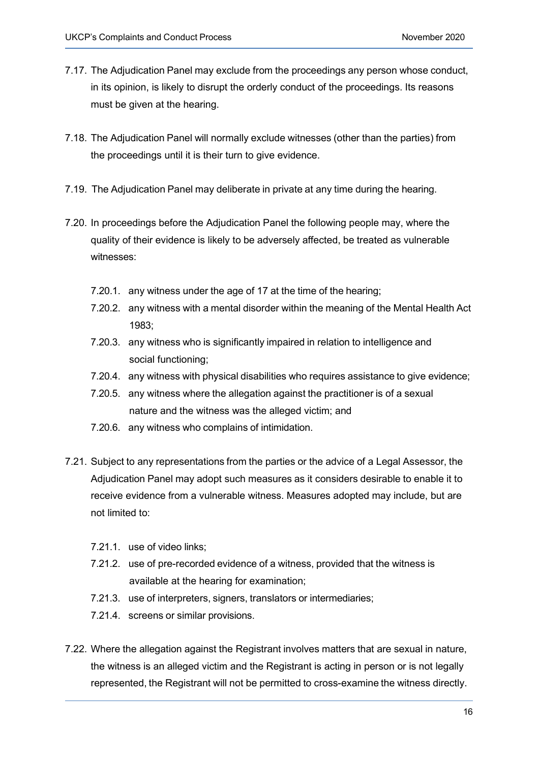- 7.17. The Adjudication Panel may exclude from the proceedings any person whose conduct, in its opinion, is likely to disrupt the orderly conduct of the proceedings. Its reasons must be given at the hearing.
- 7.18. The Adjudication Panel will normally exclude witnesses (other than the parties) from the proceedings until it is their turn to give evidence.
- 7.19. The Adjudication Panel may deliberate in private at any time during the hearing.
- 7.20. In proceedings before the Adjudication Panel the following people may, where the quality of their evidence is likely to be adversely affected, be treated as vulnerable witnesses:
	- 7.20.1. any witness under the age of 17 at the time of the hearing;
	- 7.20.2. any witness with a mental disorder within the meaning of the Mental Health Act 1983;
	- 7.20.3. any witness who is significantly impaired in relation to intelligence and social functioning;
	- 7.20.4. any witness with physical disabilities who requires assistance to give evidence;
	- 7.20.5. any witness where the allegation against the practitioner is of a sexual nature and the witness was the alleged victim; and
	- 7.20.6. any witness who complains of intimidation.
- 7.21. Subject to any representations from the parties or the advice of a Legal Assessor, the Adjudication Panel may adopt such measures as it considers desirable to enable it to receive evidence from a vulnerable witness. Measures adopted may include, but are not limited to:
	- 7.21.1. use of video links;
	- 7.21.2. use of pre-recorded evidence of a witness, provided that the witness is available at the hearing for examination;
	- 7.21.3. use of interpreters, signers, translators or intermediaries;
	- 7.21.4. screens or similar provisions.
- 7.22. Where the allegation against the Registrant involves matters that are sexual in nature, the witness is an alleged victim and the Registrant is acting in person or is not legally represented, the Registrant will not be permitted to cross-examine the witness directly.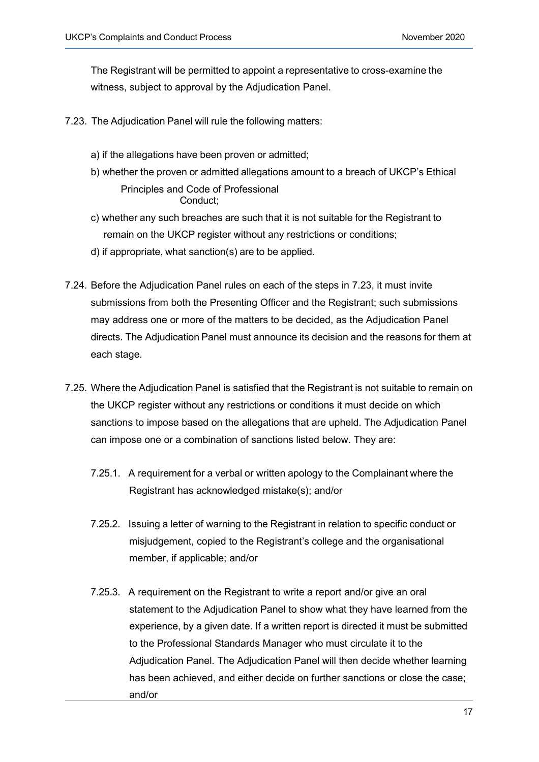The Registrant will be permitted to appoint a representative to cross-examine the witness, subject to approval by the Adjudication Panel.

- 7.23. The Adjudication Panel will rule the following matters:
	- a) if the allegations have been proven or admitted;
	- b) whether the proven or admitted allegations amount to a breach of UKCP's Ethical Principles and Code of Professional Conduct;
	- c) whether any such breaches are such that it is not suitable for the Registrant to remain on the UKCP register without any restrictions or conditions;
	- d) if appropriate, what sanction(s) are to be applied.
- 7.24. Before the Adjudication Panel rules on each of the steps in 7.23, it must invite submissions from both the Presenting Officer and the Registrant; such submissions may address one or more of the matters to be decided, as the Adjudication Panel directs. The Adjudication Panel must announce its decision and the reasons for them at each stage.
- 7.25. Where the Adjudication Panel is satisfied that the Registrant is not suitable to remain on the UKCP register without any restrictions or conditions it must decide on which sanctions to impose based on the allegations that are upheld. The Adjudication Panel can impose one or a combination of sanctions listed below. They are:
	- 7.25.1. A requirement for a verbal or written apology to the Complainant where the Registrant has acknowledged mistake(s); and/or
	- 7.25.2. Issuing a letter of warning to the Registrant in relation to specific conduct or misjudgement, copied to the Registrant's college and the organisational member, if applicable; and/or
	- 7.25.3. A requirement on the Registrant to write a report and/or give an oral statement to the Adjudication Panel to show what they have learned from the experience, by a given date. If a written report is directed it must be submitted to the Professional Standards Manager who must circulate it to the Adjudication Panel. The Adjudication Panel will then decide whether learning has been achieved, and either decide on further sanctions or close the case; and/or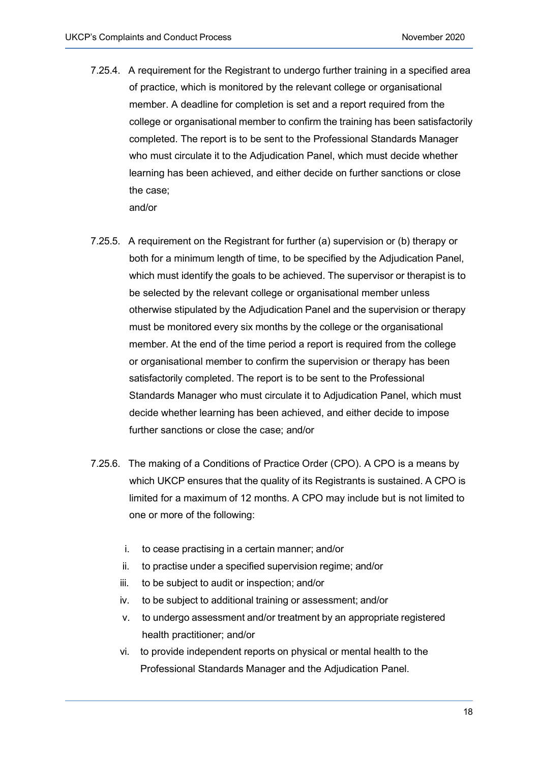- 7.25.4. A requirement for the Registrant to undergo further training in a specified area of practice, which is monitored by the relevant college or organisational member. A deadline for completion is set and a report required from the college or organisational member to confirm the training has been satisfactorily completed. The report is to be sent to the Professional Standards Manager who must circulate it to the Adjudication Panel, which must decide whether learning has been achieved, and either decide on further sanctions or close the case; and/or
- 7.25.5. A requirement on the Registrant for further (a) supervision or (b) therapy or both for a minimum length of time, to be specified by the Adjudication Panel, which must identify the goals to be achieved. The supervisor or therapist is to be selected by the relevant college or organisational member unless otherwise stipulated by the Adjudication Panel and the supervision or therapy must be monitored every six months by the college or the organisational member. At the end of the time period a report is required from the college or organisational member to confirm the supervision or therapy has been satisfactorily completed. The report is to be sent to the Professional Standards Manager who must circulate it to Adjudication Panel, which must decide whether learning has been achieved, and either decide to impose further sanctions or close the case; and/or
- 7.25.6. The making of a Conditions of Practice Order (CPO). A CPO is a means by which UKCP ensures that the quality of its Registrants is sustained. A CPO is limited for a maximum of 12 months. A CPO may include but is not limited to one or more of the following:
	- i. to cease practising in a certain manner; and/or
	- ii. to practise under a specified supervision regime; and/or
	- iii. to be subject to audit or inspection; and/or
	- iv. to be subject to additional training or assessment; and/or
	- v. to undergo assessment and/or treatment by an appropriate registered health practitioner; and/or
	- vi. to provide independent reports on physical or mental health to the Professional Standards Manager and the Adjudication Panel.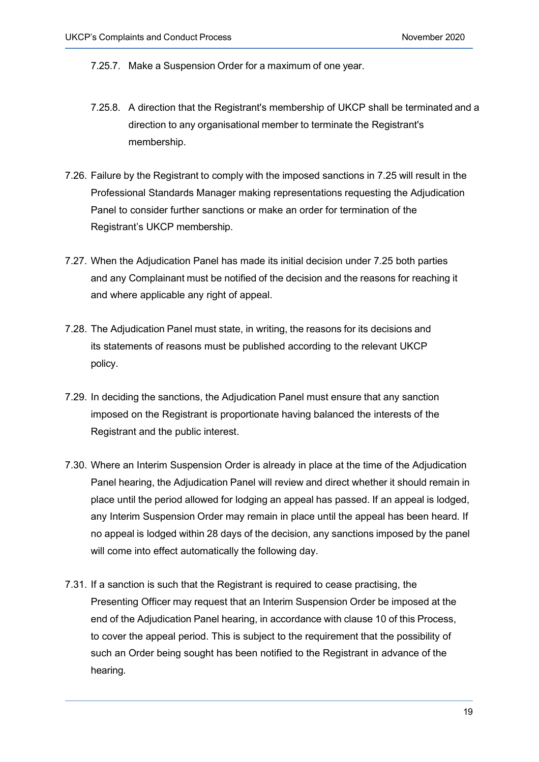7.25.7. Make a Suspension Order for a maximum of one year.

- 7.25.8. A direction that the Registrant's membership of UKCP shall be terminated and a direction to any organisational member to terminate the Registrant's membership.
- 7.26. Failure by the Registrant to comply with the imposed sanctions in 7.25 will result in the Professional Standards Manager making representations requesting the Adjudication Panel to consider further sanctions or make an order for termination of the Registrant's UKCP membership.
- 7.27. When the Adjudication Panel has made its initial decision under 7.25 both parties and any Complainant must be notified of the decision and the reasons for reaching it and where applicable any right of appeal.
- 7.28. The Adjudication Panel must state, in writing, the reasons for its decisions and its statements of reasons must be published according to the relevant UKCP policy.
- 7.29. In deciding the sanctions, the Adjudication Panel must ensure that any sanction imposed on the Registrant is proportionate having balanced the interests of the Registrant and the public interest.
- 7.30. Where an Interim Suspension Order is already in place at the time of the Adjudication Panel hearing, the Adjudication Panel will review and direct whether it should remain in place until the period allowed for lodging an appeal has passed. If an appeal is lodged, any Interim Suspension Order may remain in place until the appeal has been heard. If no appeal is lodged within 28 days of the decision, any sanctions imposed by the panel will come into effect automatically the following day.
- 7.31. If a sanction is such that the Registrant is required to cease practising, the Presenting Officer may request that an Interim Suspension Order be imposed at the end of the Adjudication Panel hearing, in accordance with clause 10 of this Process, to cover the appeal period. This is subject to the requirement that the possibility of such an Order being sought has been notified to the Registrant in advance of the hearing.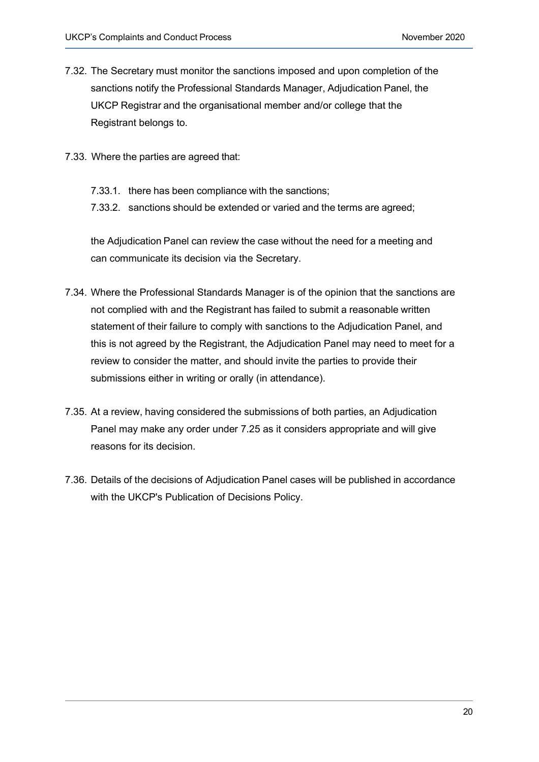- 7.32. The Secretary must monitor the sanctions imposed and upon completion of the sanctions notify the Professional Standards Manager, Adjudication Panel, the UKCP Registrar and the organisational member and/or college that the Registrant belongs to.
- 7.33. Where the parties are agreed that:
	- 7.33.1. there has been compliance with the sanctions;
	- 7.33.2. sanctions should be extended or varied and the terms are agreed;

the Adjudication Panel can review the case without the need for a meeting and can communicate its decision via the Secretary.

- 7.34. Where the Professional Standards Manager is of the opinion that the sanctions are not complied with and the Registrant has failed to submit a reasonable written statement of their failure to comply with sanctions to the Adjudication Panel, and this is not agreed by the Registrant, the Adjudication Panel may need to meet for a review to consider the matter, and should invite the parties to provide their submissions either in writing or orally (in attendance).
- 7.35. At a review, having considered the submissions of both parties, an Adjudication Panel may make any order under 7.25 as it considers appropriate and will give reasons for its decision.
- 7.36. Details of the decisions of Adjudication Panel cases will be published in accordance with the UKCP's Publication of Decisions Policy.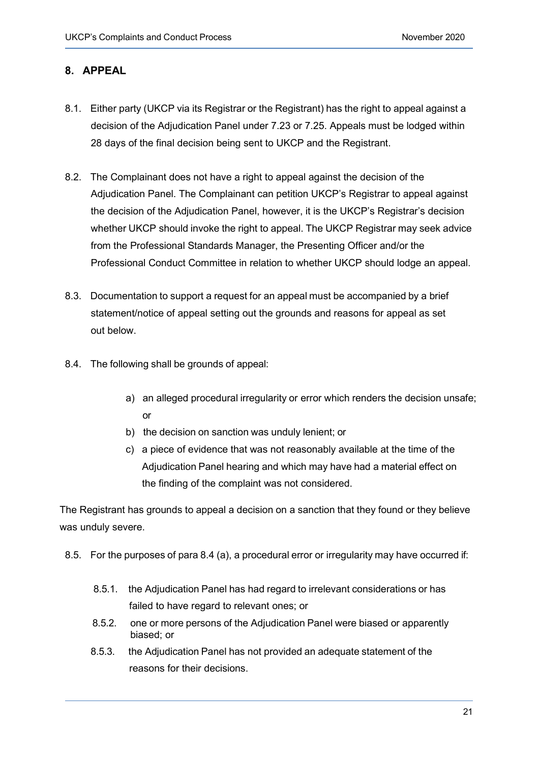## **8. APPEAL**

- 8.1. Either party (UKCP via its Registrar or the Registrant) has the right to appeal against a decision of the Adjudication Panel under 7.23 or 7.25. Appeals must be lodged within 28 days of the final decision being sent to UKCP and the Registrant.
- 8.2. The Complainant does not have a right to appeal against the decision of the Adjudication Panel. The Complainant can petition UKCP's Registrar to appeal against the decision of the Adjudication Panel, however, it is the UKCP's Registrar's decision whether UKCP should invoke the right to appeal. The UKCP Registrar may seek advice from the Professional Standards Manager, the Presenting Officer and/or the Professional Conduct Committee in relation to whether UKCP should lodge an appeal.
- 8.3. Documentation to support a request for an appeal must be accompanied by a brief statement/notice of appeal setting out the grounds and reasons for appeal as set out below.
- 8.4. The following shall be grounds of appeal:
	- a) an alleged procedural irregularity or error which renders the decision unsafe; or
	- b) the decision on sanction was unduly lenient; or
	- c) a piece of evidence that was not reasonably available at the time of the Adjudication Panel hearing and which may have had a material effect on the finding of the complaint was not considered.

The Registrant has grounds to appeal a decision on a sanction that they found or they believe was unduly severe.

- 8.5. For the purposes of para 8.4 (a), a procedural error or irregularity may have occurred if:
	- 8.5.1. the Adjudication Panel has had regard to irrelevant considerations or has failed to have regard to relevant ones; or
	- 8.5.2. one or more persons of the Adjudication Panel were biased or apparently biased; or
	- 8.5.3. the Adjudication Panel has not provided an adequate statement of the reasons for their decisions.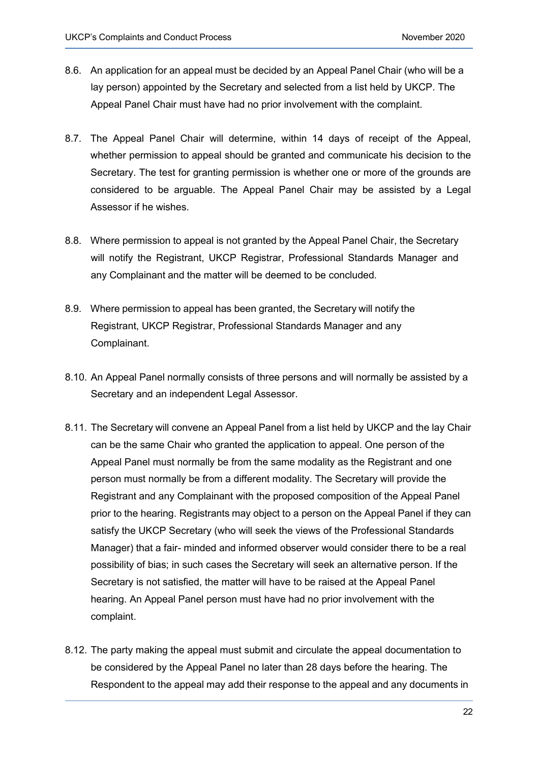- 8.6. An application for an appeal must be decided by an Appeal Panel Chair (who will be a lay person) appointed by the Secretary and selected from a list held by UKCP. The Appeal Panel Chair must have had no prior involvement with the complaint.
- 8.7. The Appeal Panel Chair will determine, within 14 days of receipt of the Appeal, whether permission to appeal should be granted and communicate his decision to the Secretary. The test for granting permission is whether one or more of the grounds are considered to be arguable. The Appeal Panel Chair may be assisted by a Legal Assessor if he wishes.
- 8.8. Where permission to appeal is not granted by the Appeal Panel Chair, the Secretary will notify the Registrant, UKCP Registrar, Professional Standards Manager and any Complainant and the matter will be deemed to be concluded.
- 8.9. Where permission to appeal has been granted, the Secretary will notify the Registrant, UKCP Registrar, Professional Standards Manager and any Complainant.
- 8.10. An Appeal Panel normally consists of three persons and will normally be assisted by a Secretary and an independent Legal Assessor.
- 8.11. The Secretary will convene an Appeal Panel from a list held by UKCP and the lay Chair can be the same Chair who granted the application to appeal. One person of the Appeal Panel must normally be from the same modality as the Registrant and one person must normally be from a different modality. The Secretary will provide the Registrant and any Complainant with the proposed composition of the Appeal Panel prior to the hearing. Registrants may object to a person on the Appeal Panel if they can satisfy the UKCP Secretary (who will seek the views of the Professional Standards Manager) that a fair- minded and informed observer would consider there to be a real possibility of bias; in such cases the Secretary will seek an alternative person. If the Secretary is not satisfied, the matter will have to be raised at the Appeal Panel hearing. An Appeal Panel person must have had no prior involvement with the complaint.
- 8.12. The party making the appeal must submit and circulate the appeal documentation to be considered by the Appeal Panel no later than 28 days before the hearing. The Respondent to the appeal may add their response to the appeal and any documents in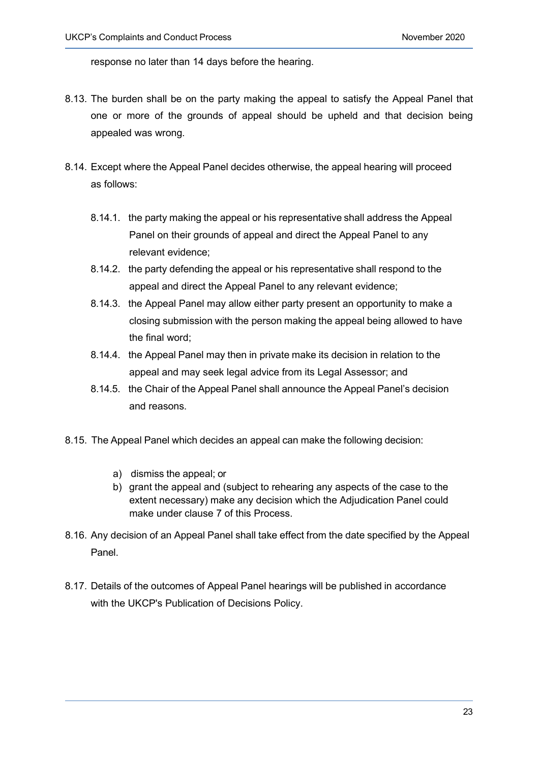response no later than 14 days before the hearing.

- 8.13. The burden shall be on the party making the appeal to satisfy the Appeal Panel that one or more of the grounds of appeal should be upheld and that decision being appealed was wrong.
- 8.14. Except where the Appeal Panel decides otherwise, the appeal hearing will proceed as follows:
	- 8.14.1. the party making the appeal or his representative shall address the Appeal Panel on their grounds of appeal and direct the Appeal Panel to any relevant evidence;
	- 8.14.2. the party defending the appeal or his representative shall respond to the appeal and direct the Appeal Panel to any relevant evidence;
	- 8.14.3. the Appeal Panel may allow either party present an opportunity to make a closing submission with the person making the appeal being allowed to have the final word;
	- 8.14.4. the Appeal Panel may then in private make its decision in relation to the appeal and may seek legal advice from its Legal Assessor; and
	- 8.14.5. the Chair of the Appeal Panel shall announce the Appeal Panel's decision and reasons.
- 8.15. The Appeal Panel which decides an appeal can make the following decision:
	- a) dismiss the appeal; or
	- b) grant the appeal and (subject to rehearing any aspects of the case to the extent necessary) make any decision which the Adjudication Panel could make under clause 7 of this Process.
- 8.16. Any decision of an Appeal Panel shall take effect from the date specified by the Appeal Panel.
- 8.17. Details of the outcomes of Appeal Panel hearings will be published in accordance with the UKCP's Publication of Decisions Policy.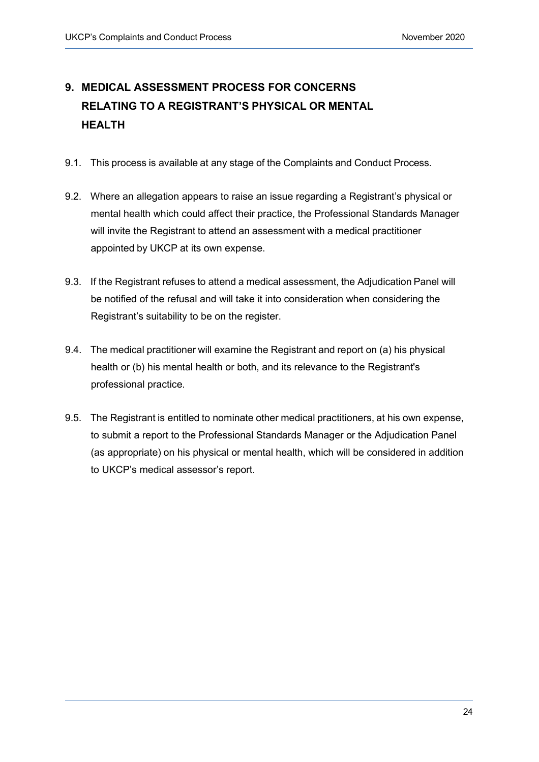# **9. MEDICAL ASSESSMENT PROCESS FOR CONCERNS RELATING TO A REGISTRANT'S PHYSICAL OR MENTAL HEALTH**

- 9.1. This process is available at any stage of the Complaints and Conduct Process.
- 9.2. Where an allegation appears to raise an issue regarding a Registrant's physical or mental health which could affect their practice, the Professional Standards Manager will invite the Registrant to attend an assessment with a medical practitioner appointed by UKCP at its own expense.
- 9.3. If the Registrant refuses to attend a medical assessment, the Adjudication Panel will be notified of the refusal and will take it into consideration when considering the Registrant's suitability to be on the register.
- 9.4. The medical practitioner will examine the Registrant and report on (a) his physical health or (b) his mental health or both, and its relevance to the Registrant's professional practice.
- 9.5. The Registrant is entitled to nominate other medical practitioners, at his own expense, to submit a report to the Professional Standards Manager or the Adjudication Panel (as appropriate) on his physical or mental health, which will be considered in addition to UKCP's medical assessor's report.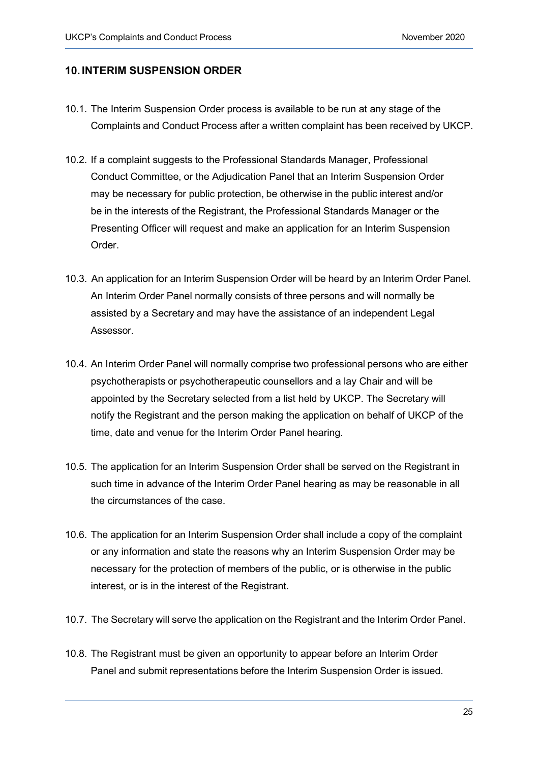#### **10. INTERIM SUSPENSION ORDER**

- 10.1. The Interim Suspension Order process is available to be run at any stage of the Complaints and Conduct Process after a written complaint has been received by UKCP.
- 10.2. If a complaint suggests to the Professional Standards Manager, Professional Conduct Committee, or the Adjudication Panel that an Interim Suspension Order may be necessary for public protection, be otherwise in the public interest and/or be in the interests of the Registrant, the Professional Standards Manager or the Presenting Officer will request and make an application for an Interim Suspension Order.
- 10.3. An application for an Interim Suspension Order will be heard by an Interim Order Panel. An Interim Order Panel normally consists of three persons and will normally be assisted by a Secretary and may have the assistance of an independent Legal Assessor.
- 10.4. An Interim Order Panel will normally comprise two professional persons who are either psychotherapists or psychotherapeutic counsellors and a lay Chair and will be appointed by the Secretary selected from a list held by UKCP. The Secretary will notify the Registrant and the person making the application on behalf of UKCP of the time, date and venue for the Interim Order Panel hearing.
- 10.5. The application for an Interim Suspension Order shall be served on the Registrant in such time in advance of the Interim Order Panel hearing as may be reasonable in all the circumstances of the case.
- 10.6. The application for an Interim Suspension Order shall include a copy of the complaint or any information and state the reasons why an Interim Suspension Order may be necessary for the protection of members of the public, or is otherwise in the public interest, or is in the interest of the Registrant.
- 10.7. The Secretary will serve the application on the Registrant and the Interim Order Panel.
- 10.8. The Registrant must be given an opportunity to appear before an Interim Order Panel and submit representations before the Interim Suspension Order is issued.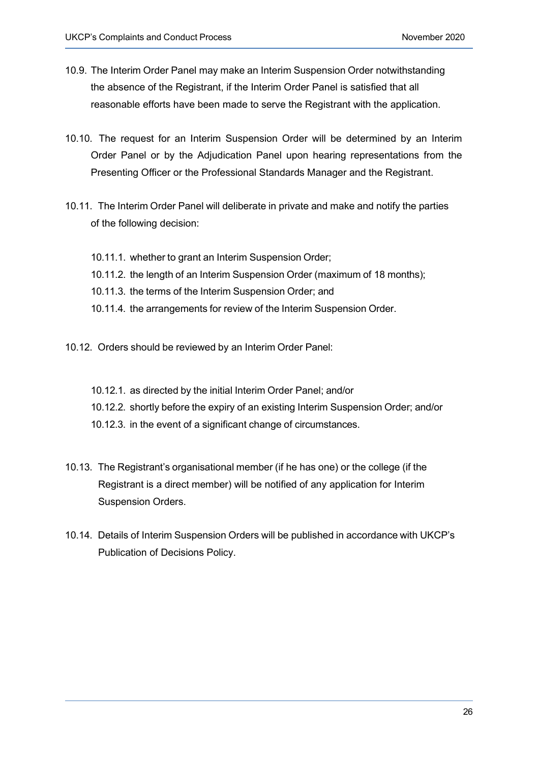- 10.9. The Interim Order Panel may make an Interim Suspension Order notwithstanding the absence of the Registrant, if the Interim Order Panel is satisfied that all reasonable efforts have been made to serve the Registrant with the application.
- 10.10. The request for an Interim Suspension Order will be determined by an Interim Order Panel or by the Adjudication Panel upon hearing representations from the Presenting Officer or the Professional Standards Manager and the Registrant.
- 10.11. The Interim Order Panel will deliberate in private and make and notify the parties of the following decision:
	- 10.11.1. whether to grant an Interim Suspension Order;
	- 10.11.2. the length of an Interim Suspension Order (maximum of 18 months);
	- 10.11.3. the terms of the Interim Suspension Order; and
	- 10.11.4. the arrangements for review of the Interim Suspension Order.
- 10.12. Orders should be reviewed by an Interim Order Panel:
	- 10.12.1. as directed by the initial Interim Order Panel; and/or
	- 10.12.2. shortly before the expiry of an existing Interim Suspension Order; and/or
	- 10.12.3. in the event of a significant change of circumstances.
- 10.13. The Registrant's organisational member (if he has one) or the college (if the Registrant is a direct member) will be notified of any application for Interim Suspension Orders.
- 10.14. Details of Interim Suspension Orders will be published in accordance with UKCP's Publication of Decisions Policy.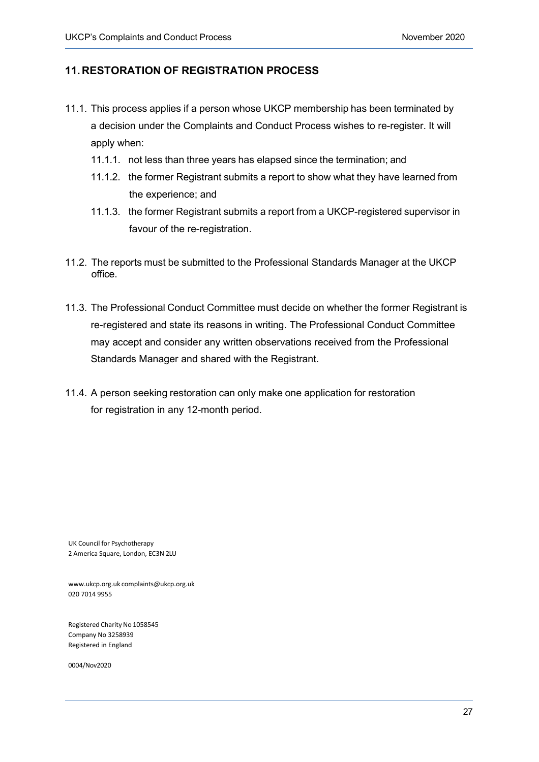## **11.RESTORATION OF REGISTRATION PROCESS**

- 11.1. This process applies if a person whose UKCP membership has been terminated by a decision under the Complaints and Conduct Process wishes to re-register. It will apply when:
	- 11.1.1. not less than three years has elapsed since the termination; and
	- 11.1.2. the former Registrant submits a report to show what they have learned from the experience; and
	- 11.1.3. the former Registrant submits a report from a UKCP-registered supervisor in favour of the re-registration.
- 11.2. The reports must be submitted to the Professional Standards Manager at the UKCP office.
- 11.3. The Professional Conduct Committee must decide on whether the former Registrant is re-registered and state its reasons in writing. The Professional Conduct Committee may accept and consider any written observations received from the Professional Standards Manager and shared with the Registrant.
- 11.4. A person seeking restoration can only make one application for restoration for registration in any 12-month period.

UK Council for Psychotherapy 2 America Square, London, EC3N 2LU

[www.ukcp.org.uk](http://www.ukcp.org.uk/) [complaints@ukcp.org.uk](mailto:complaints@ukcp.org.uk) 020 7014 9955

Registered Charity No 1058545 Company No 3258939 Registered in England

0005/May2022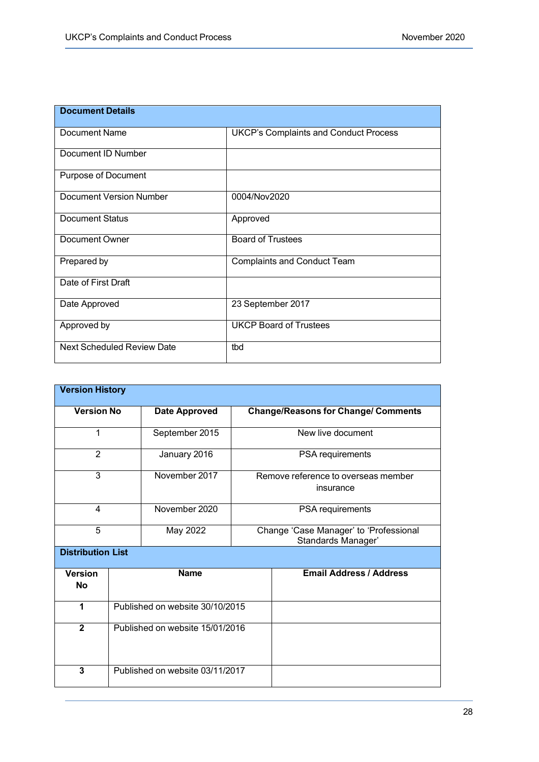| <b>Document Details</b>           |                                              |
|-----------------------------------|----------------------------------------------|
| Document Name                     | <b>UKCP's Complaints and Conduct Process</b> |
| Document ID Number                |                                              |
| Purpose of Document               |                                              |
| <b>Document Version Number</b>    | 0004/Nov2020                                 |
| <b>Document Status</b>            | Approved                                     |
| Document Owner                    | <b>Board of Trustees</b>                     |
| Prepared by                       | <b>Complaints and Conduct Team</b>           |
| Date of First Draft               |                                              |
| Date Approved                     | 23 September 2017                            |
| Approved by                       | <b>UKCP Board of Trustees</b>                |
| <b>Next Scheduled Review Date</b> | tbd                                          |

| <b>Version History</b>      |                                 |                      |                                                              |                                |  |  |
|-----------------------------|---------------------------------|----------------------|--------------------------------------------------------------|--------------------------------|--|--|
| <b>Version No</b>           |                                 | <b>Date Approved</b> | <b>Change/Reasons for Change/ Comments</b>                   |                                |  |  |
| 1                           |                                 | September 2015       | New live document                                            |                                |  |  |
| 2                           |                                 | January 2016         | PSA requirements                                             |                                |  |  |
| 3                           |                                 | November 2017        | Remove reference to overseas member<br>insurance             |                                |  |  |
| 4                           |                                 | November 2020        |                                                              | PSA requirements               |  |  |
| 5                           |                                 | May 2022             | Change 'Case Manager' to 'Professional<br>Standards Manager' |                                |  |  |
|                             | <b>Distribution List</b>        |                      |                                                              |                                |  |  |
| <b>Version</b><br><b>No</b> | <b>Name</b>                     |                      |                                                              | <b>Email Address / Address</b> |  |  |
| 1                           | Published on website 30/10/2015 |                      |                                                              |                                |  |  |
| $\overline{2}$              | Published on website 15/01/2016 |                      |                                                              |                                |  |  |
| 3                           | Published on website 03/11/2017 |                      |                                                              |                                |  |  |